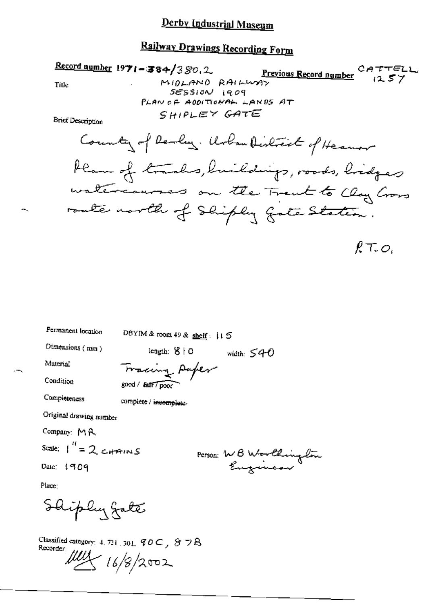#### Derby Industrial Museum

### Railway Drawings Recording Form

Record number  $1971 - 384/380.2$ Previous Record number  $CATTEL$ <br>(2.57) MIDLAND RAILWAY Title  $SESSION$   $19.09$ PLAN OF ADDITIONAL LANDS AT SHIPLEY GATE **Brief Description** County of Realing. Urban District of Heaven Plan of trades, buildings, roods, bridges watercourses on the Trent to Clay Cross route north of Shiply gote Station.

 $RT_{\sim}O_{c}$ 

Permanent location

DBYIM & room 49 & shelf:  $115$ 

Dimensions (mm)

Material

Tracing Paper

length:  $8+0$ 

Condition

Completeness

 $good / 2$  fait  $7$  poor

complete / incomplete-

Original drawing number

Company: MR

Scale:  $1'' = 2$  catains

Date:  $1909$ 

Person: WB Worthington

width:  $540$ 

Place:

Shiply gate

Classified category: 4, 721, 301,  $90C$ ,  $87R$ Recorder:  $\frac{\mu\mu}{16/8/2002}$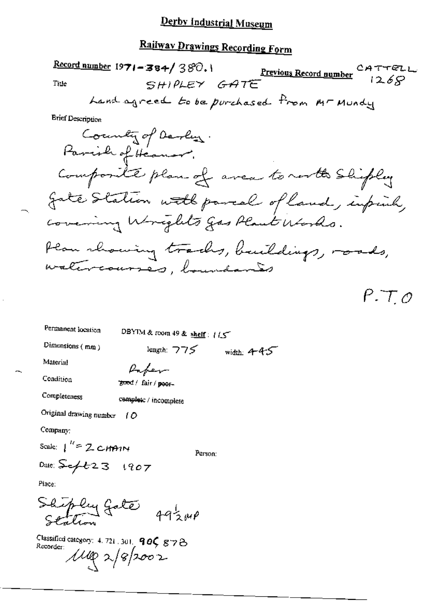#### Derby Industrial Museum

## Railway Drawings Recording Form

Record number 197

$$
1-384/380.1
$$
  
\nSH)  $0.67 + 0.67$   
\n $5 + 10$   $1268$ 

Title

**Brief Description** 

County of Derly Composite plan of area to north Shipley gate Station with parcal of land, infinity, covering Wrights gas Plant Works. Plan rhowing tracks, buildings, roads, watercourses, boundaries

 $P.T.o$ 

Permanent location

DBYIM & room 49 & shelf: 115

Dimensions  $(mn)$ 

Material

Condition

Paper good / fair / poor-

Completeness

complete / incomplete Original drawing number  $\int$   $\mathcal{O}$ 

Company:

Scale:  $1^{H} = 2$  CHAIN

Person:

length:  $775$  width:  $445$ 

Date:  $5 - 1907$ 

Place:

Shipley Gate  $49\frac{1}{3} \mu \rho$ 

Classified category: 4, 721, 301, 90C g78 Recorder:  $\mu_{\phi}$ 2/8/2002